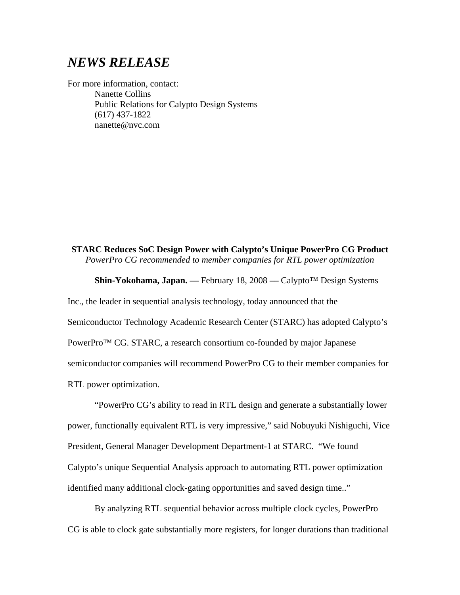## *NEWS RELEASE*

For more information, contact: Nanette Collins Public Relations for Calypto Design Systems (617) 437-1822 nanette@nvc.com

**STARC Reduces SoC Design Power with Calypto's Unique PowerPro CG Product**  *PowerPro CG recommended to member companies for RTL power optimization* 

**Shin-Yokohama, Japan. ––** February 18, 2008 **––** Calypto™ Design Systems

Inc., the leader in sequential analysis technology, today announced that the Semiconductor Technology Academic Research Center (STARC) has adopted Calypto's PowerPro™ CG. STARC, a research consortium co-founded by major Japanese semiconductor companies will recommend PowerPro CG to their member companies for RTL power optimization.

"PowerPro CG's ability to read in RTL design and generate a substantially lower power, functionally equivalent RTL is very impressive," said Nobuyuki Nishiguchi, Vice President, General Manager Development Department-1 at STARC. "We found Calypto's unique Sequential Analysis approach to automating RTL power optimization identified many additional clock-gating opportunities and saved design time.."

By analyzing RTL sequential behavior across multiple clock cycles, PowerPro CG is able to clock gate substantially more registers, for longer durations than traditional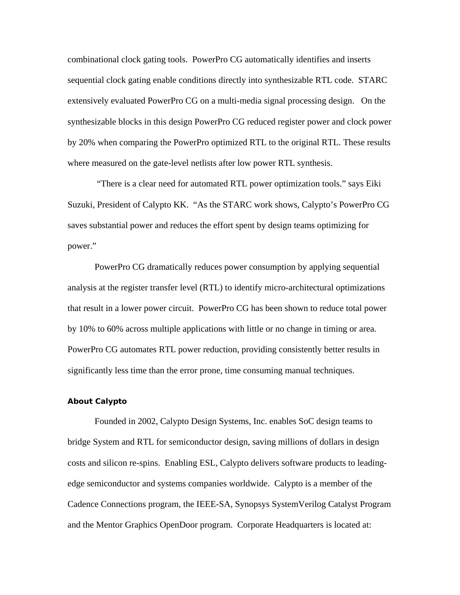combinational clock gating tools. PowerPro CG automatically identifies and inserts sequential clock gating enable conditions directly into synthesizable RTL code. STARC extensively evaluated PowerPro CG on a multi-media signal processing design. On the synthesizable blocks in this design PowerPro CG reduced register power and clock power by 20% when comparing the PowerPro optimized RTL to the original RTL. These results where measured on the gate-level netlists after low power RTL synthesis.

 "There is a clear need for automated RTL power optimization tools." says Eiki Suzuki, President of Calypto KK. "As the STARC work shows, Calypto's PowerPro CG saves substantial power and reduces the effort spent by design teams optimizing for power."

PowerPro CG dramatically reduces power consumption by applying sequential analysis at the register transfer level (RTL) to identify micro-architectural optimizations that result in a lower power circuit. PowerPro CG has been shown to reduce total power by 10% to 60% across multiple applications with little or no change in timing or area. PowerPro CG automates RTL power reduction, providing consistently better results in significantly less time than the error prone, time consuming manual techniques.

## **About Calypto**

Founded in 2002, Calypto Design Systems, Inc. enables SoC design teams to bridge System and RTL for semiconductor design, saving millions of dollars in design costs and silicon re-spins. Enabling ESL, Calypto delivers software products to leadingedge semiconductor and systems companies worldwide. Calypto is a member of the Cadence Connections program, the IEEE-SA, Synopsys SystemVerilog Catalyst Program and the Mentor Graphics OpenDoor program. Corporate Headquarters is located at: